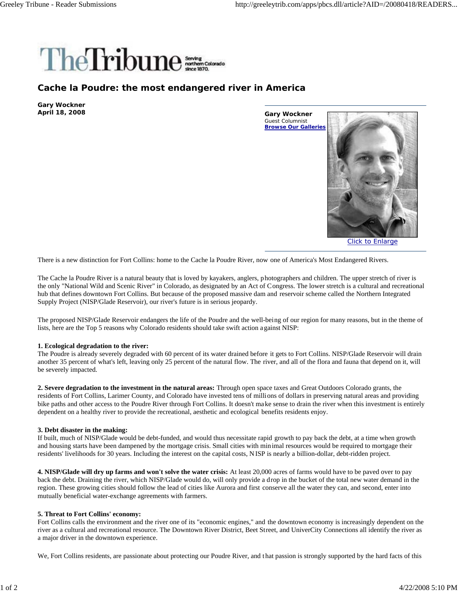

## **Cache la Poudre: the most endangered river in America**

**Gary Wockner April 18, 2008**

**Gary Wockner** Guest Columnist **Browse Our Galleries**



Click to Enlarge

There is a new distinction for Fort Collins: home to the Cache la Poudre River, now one of America's Most Endangered Rivers.

The Cache la Poudre River is a natural beauty that is loved by kayakers, anglers, photographers and children. The upper stretch of river is the only "National Wild and Scenic River" in Colorado, as designated by an Act of Congress. The lower stretch is a cultural and recreational hub that defines downtown Fort Collins. But because of the proposed massive dam and reservoir scheme called the Northern Integrated Supply Project (NISP/Glade Reservoir), our river's future is in serious jeopardy.

The proposed NISP/Glade Reservoir endangers the life of the Poudre and the well-being of our region for many reasons, but in the theme of lists, here are the Top 5 reasons why Colorado residents should take swift action against NISP:

## **1. Ecological degradation to the river:**

The Poudre is already severely degraded with 60 percent of its water drained before it gets to Fort Collins. NISP/Glade Reservoir will drain another 35 percent of what's left, leaving only 25 percent of the natural flow. The river, and all of the flora and fauna that depend on it, will be severely impacted.

**2. Severe degradation to the investment in the natural areas:** Through open space taxes and Great Outdoors Colorado grants, the residents of Fort Collins, Larimer County, and Colorado have invested tens of millions of dollars in preserving natural areas and providing bike paths and other access to the Poudre River through Fort Collins. It doesn't make sense to drain the river when this investment is entirely dependent on a healthy river to provide the recreational, aesthetic and ecological benefits residents enjoy.

## **3. Debt disaster in the making:**

If built, much of NISP/Glade would be debt-funded, and would thus necessitate rapid growth to pay back the debt, at a time when growth and housing starts have been dampened by the mortgage crisis. Small cities with minimal resources would be required to mortgage their residents' livelihoods for 30 years. Including the interest on the capital costs, N ISP is nearly a billion-dollar, debt-ridden project.

**4. NISP/Glade will dry up farms and won't solve the water crisis:** At least 20,000 acres of farms would have to be paved over to pay back the debt. Draining the river, which NISP/Glade would do, will only provide a drop in the bucket of the total new water demand in the region. These growing cities should follow the lead of cities like Aurora and first conserve all the water they can, and second, enter into mutually beneficial water-exchange agreements with farmers.

## **5. Threat to Fort Collins' economy:**

Fort Collins calls the environment and the river one of its "economic engines," and the downtown economy is increasingly dependent on the river as a cultural and recreational resource. The Downtown River District, Beet Street, and UniverCity Connections all identify the river as a major driver in the downtown experience.

We, Fort Collins residents, are passionate about protecting our Poudre River, and that passion is strongly supported by the hard facts of this